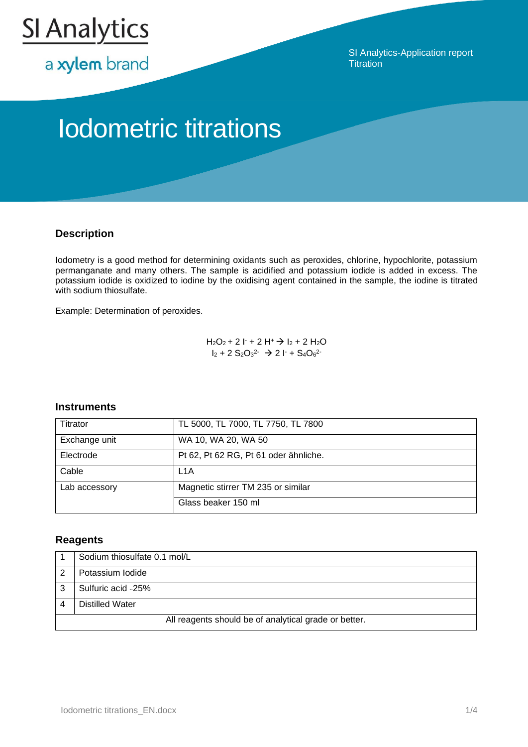

a xylem brand

SI Analytics-Application report **Titration** 

# Iodometric titrations

## **Description**

Iodometry is a good method for determining oxidants such as peroxides, chlorine, hypochlorite, potassium permanganate and many others. The sample is acidified and potassium iodide is added in excess. The potassium iodide is oxidized to iodine by the oxidising agent contained in the sample, the iodine is titrated with sodium thiosulfate.

Example: Determination of peroxides.

 $H_2O_2$  + 2  $I + 2 H^+$   $\rightarrow$   $I_2$  + 2  $H_2O$  $I_2 + 2 S_2O_3^2$   $\rightarrow$  2 l + S<sub>4</sub>O<sub>6</sub><sup>2</sup>

## **Instruments**

| Titrator      | TL 5000, TL 7000, TL 7750, TL 7800    |
|---------------|---------------------------------------|
| Exchange unit | WA 10, WA 20, WA 50                   |
| Electrode     | Pt 62, Pt 62 RG, Pt 61 oder ähnliche. |
| Cable         | L <sub>1</sub> A                      |
| Lab accessory | Magnetic stirrer TM 235 or similar    |
|               | Glass beaker 150 ml                   |

## **Reagents**

| Sodium thiosulfate 0.1 mol/L                          |
|-------------------------------------------------------|
| Potassium Iodide                                      |
| Sulfuric acid -25%                                    |
| Distilled Water                                       |
| All reagents should be of analytical grade or better. |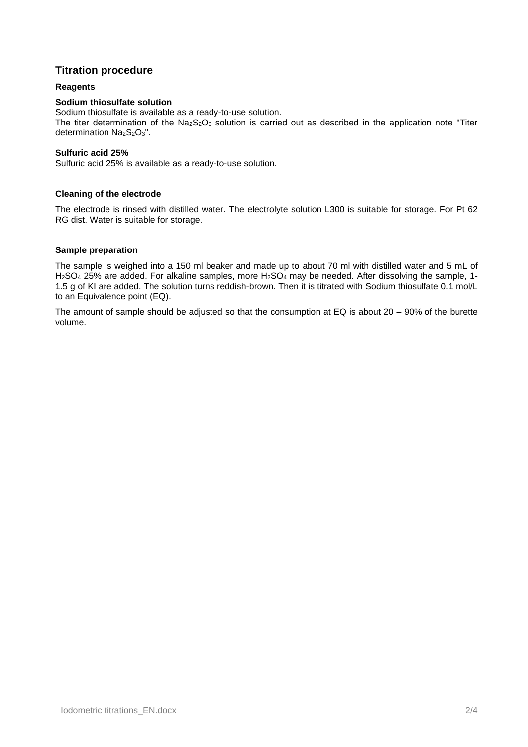## **Titration procedure**

#### **Reagents**

#### **Sodium thiosulfate solution**

Sodium thiosulfate is available as a ready-to-use solution. The titer determination of the  $Na<sub>2</sub>S<sub>2</sub>O<sub>3</sub>$  solution is carried out as described in the application note "Titer determination  $Na<sub>2</sub>S<sub>2</sub>O<sub>3</sub>$ ".

#### **Sulfuric acid 25%**

Sulfuric acid 25% is available as a ready-to-use solution.

#### **Cleaning of the electrode**

The electrode is rinsed with distilled water. The electrolyte solution L300 is suitable for storage. For Pt 62 RG dist. Water is suitable for storage.

#### **Sample preparation**

The sample is weighed into a 150 ml beaker and made up to about 70 ml with distilled water and 5 mL of  $H<sub>2</sub>SO<sub>4</sub>$  25% are added. For alkaline samples, more  $H<sub>2</sub>SO<sub>4</sub>$  may be needed. After dissolving the sample, 1-1.5 g of KI are added. The solution turns reddish-brown. Then it is titrated with Sodium thiosulfate 0.1 mol/L to an Equivalence point (EQ).

The amount of sample should be adjusted so that the consumption at EQ is about 20 – 90% of the burette volume.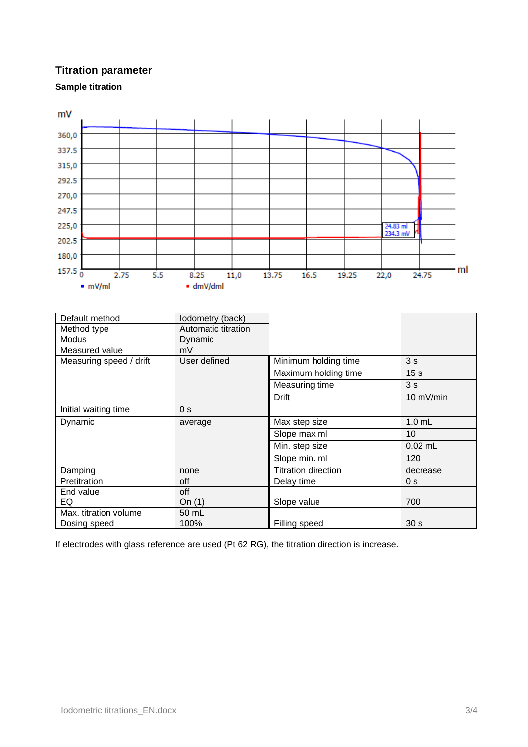# **Titration parameter**





| Default method          | lodometry (back)    |                            |                 |
|-------------------------|---------------------|----------------------------|-----------------|
| Method type             | Automatic titration |                            |                 |
| Modus                   | Dynamic             |                            |                 |
| Measured value          | mV                  |                            |                 |
| Measuring speed / drift | User defined        | Minimum holding time       | 3s              |
|                         |                     | Maximum holding time       | 15 <sub>s</sub> |
|                         |                     | Measuring time             | 3s              |
|                         |                     | <b>Drift</b>               | 10 mV/min       |
| Initial waiting time    | 0 <sub>s</sub>      |                            |                 |
| Dynamic                 | average             | Max step size              | $1.0$ mL        |
|                         |                     | Slope max ml               | 10              |
|                         |                     | Min. step size             | $0.02$ mL       |
|                         |                     | Slope min. ml              | 120             |
| Damping                 | none                | <b>Titration direction</b> | decrease        |
| Pretitration            | off                 | Delay time                 | 0 <sub>s</sub>  |
| End value               | off                 |                            |                 |
| EQ                      | On $(1)$            | Slope value                | 700             |
| Max. titration volume   | 50 mL               |                            |                 |
| Dosing speed            | 100%                | Filling speed              | 30 <sub>s</sub> |

If electrodes with glass reference are used (Pt 62 RG), the titration direction is increase.